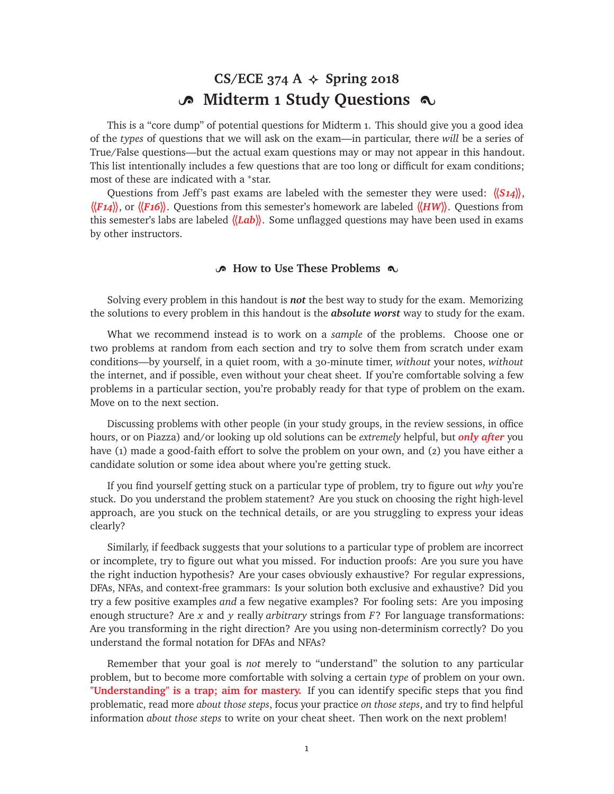# CS/ECE 374 A  $\triangle$  Spring 2018 o Midterm 1 Study Questions  $\infty$

This is a "core dump" of potential questions for Midterm 1. This should give you a good idea of the *types* of questions that we will ask on the exam—in particular, there *will* be a series of True/False questions—but the actual exam questions may or may not appear in this handout. This list intentionally includes a few questions that are too long or difficult for exam conditions; most of these are indicated with a <sup>∗</sup>star.

Questions from Jeff's past exams are labeled with the semester they were used: **〈〈***S14***〉〉**, **〈〈***F14***〉〉**, or **〈〈***F16***〉〉**. Questions from this semester's homework are labeled **〈〈***HW***〉〉**. Questions from this semester's labs are labeled  $\langle$ *Lab* $\rangle$ . Some unflagged questions may have been used in exams by other instructors.

# **B** How to Use These Problems  $\infty$

Solving every problem in this handout is *not* the best way to study for the exam. Memorizing the solutions to every problem in this handout is the *absolute worst* way to study for the exam.

What we recommend instead is to work on a *sample* of the problems. Choose one or two problems at random from each section and try to solve them from scratch under exam conditions—by yourself, in a quiet room, with a 30-minute timer, *without* your notes, *without* the internet, and if possible, even without your cheat sheet. If you're comfortable solving a few problems in a particular section, you're probably ready for that type of problem on the exam. Move on to the next section.

Discussing problems with other people (in your study groups, in the review sessions, in office hours, or on Piazza) and/or looking up old solutions can be *extremely* helpful, but *only after* you have (1) made a good-faith effort to solve the problem on your own, and (2) you have either a candidate solution or some idea about where you're getting stuck.

If you find yourself getting stuck on a particular type of problem, try to figure out *why* you're stuck. Do you understand the problem statement? Are you stuck on choosing the right high-level approach, are you stuck on the technical details, or are you struggling to express your ideas clearly?

Similarly, if feedback suggests that your solutions to a particular type of problem are incorrect or incomplete, try to figure out what you missed. For induction proofs: Are you sure you have the right induction hypothesis? Are your cases obviously exhaustive? For regular expressions, DFAs, NFAs, and context-free grammars: Is your solution both exclusive and exhaustive? Did you try a few positive examples *and* a few negative examples? For fooling sets: Are you imposing enough structure? Are *x* and *y* really *arbitrary* strings from *F*? For language transformations: Are you transforming in the right direction? Are you using non-determinism correctly? Do you understand the formal notation for DFAs and NFAs?

Remember that your goal is *not* merely to "understand" the solution to any particular problem, but to become more comfortable with solving a certain *type* of problem on your own. **"Understanding" is a trap; aim for mastery.** If you can identify specific steps that you find problematic, read more *about those steps*, focus your practice *on those steps*, and try to find helpful information *about those steps* to write on your cheat sheet. Then work on the next problem!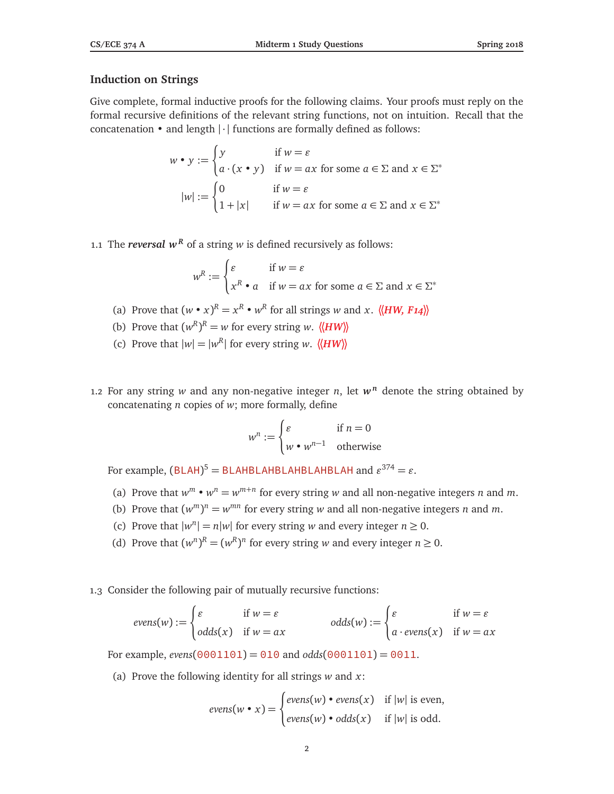# **Induction on Strings**

Give complete, formal inductive proofs for the following claims. Your proofs must reply on the formal recursive definitions of the relevant string functions, not on intuition. Recall that the concatenation  $\cdot$  and length  $|\cdot|$  functions are formally defined as follows:

$$
w \bullet y := \begin{cases} y & \text{if } w = \varepsilon \\ a \cdot (x \bullet y) & \text{if } w = ax \text{ for some } a \in \Sigma \text{ and } x \in \Sigma^* \end{cases}
$$

$$
|w| := \begin{cases} 0 & \text{if } w = \varepsilon \\ 1 + |x| & \text{if } w = ax \text{ for some } a \in \Sigma \text{ and } x \in \Sigma^* \end{cases}
$$

1.1 The *reversal*  $w^R$  of a string *w* is defined recursively as follows:

$$
w^{R} := \begin{cases} \varepsilon & \text{if } w = \varepsilon \\ x^{R} \bullet a & \text{if } w = ax \text{ for some } a \in \Sigma \text{ and } x \in \Sigma^* \end{cases}
$$

- (a) Prove that  $(w \cdot x)^R = x^R \cdot w^R$  for all strings *w* and *x*.  $\langle \langle HW, F14 \rangle \rangle$
- (b) Prove that  $(w^R)^R = w$  for every string *w*.  $\langle \langle HW \rangle \rangle$
- (c) Prove that  $|w| = |w^R|$  for every string *w*.  $\langle \langle HW \rangle \rangle$
- 1.2 For any string  $w$  and any non-negative integer  $n$ , let  $w^n$  denote the string obtained by concatenating *n* copies of *w*; more formally, define

$$
w^n := \begin{cases} \varepsilon & \text{if } n = 0\\ w \bullet w^{n-1} & \text{otherwise} \end{cases}
$$

For example,  $(BLAH)^5 = BLAHBLAHBLAHBLAHBLAH ALAH$ 

- (a) Prove that  $w^m \cdot w^n = w^{m+n}$  for every string *w* and all non-negative integers *n* and *m*.
- (b) Prove that  $(w^m)^n = w^{mn}$  for every string *w* and all non-negative integers *n* and *m*.
- (c) Prove that  $|w^n| = n|w|$  for every string *w* and every integer  $n \ge 0$ .
- (d) Prove that  $(w^n)^R = (w^R)^n$  for every string *w* and every integer  $n \ge 0$ .
- 1.3 Consider the following pair of mutually recursive functions:

$$
evens(w) := \begin{cases} \varepsilon & \text{if } w = \varepsilon \\ odds(x) & \text{if } w = ax \end{cases} odds(w) := \begin{cases} \varepsilon & \text{if } w = \varepsilon \\ a \cdot evens(x) & \text{if } w = ax \end{cases}
$$

For example, *evens*( $0001101$ ) = 010 and *odds*( $0001101$ ) = 0011.

(a) Prove the following identity for all strings *w* and *x*:

$$
evens(w \bullet x) = \begin{cases} evens(w) \bullet evens(x) & \text{if } |w| \text{ is even,} \\ evens(w) \bullet odds(x) & \text{if } |w| \text{ is odd.} \end{cases}
$$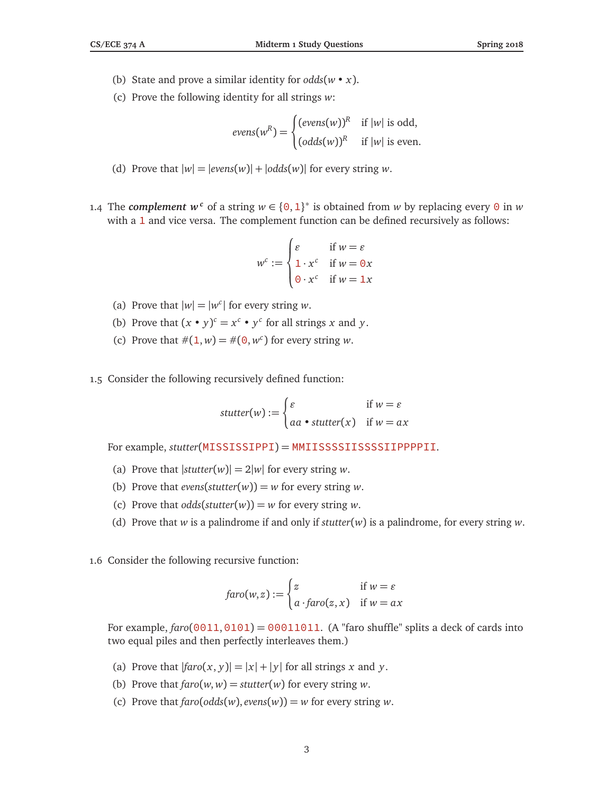- (b) State and prove a similar identity for *odds*(*w x*).
- (c) Prove the following identity for all strings *w*:

$$
evens(w^R) = \begin{cases} (evens(w))^R & \text{if } |w| \text{ is odd,} \\ (odds(w))^R & \text{if } |w| \text{ is even.} \end{cases}
$$

- (d) Prove that  $|w| = |evens(w)| + |odds(w)|$  for every string *w*.
- 1.4 The *complement*  $w^c$  of a string  $w \in \{0, 1\}^*$  is obtained from w by replacing every 0 in w with a 1 and vice versa. The complement function can be defined recursively as follows:

$$
w^{c} := \begin{cases} \varepsilon & \text{if } w = \varepsilon \\ 1 \cdot x^{c} & \text{if } w = 0x \\ 0 \cdot x^{c} & \text{if } w = 1x \end{cases}
$$

- (a) Prove that  $|w| = |w^c|$  for every string *w*.
- (b) Prove that  $(x \cdot y)^c = x^c \cdot y^c$  for all strings *x* and *y*.
- (c) Prove that  $\#(1, w) = \#(0, w^c)$  for every string *w*.
- 1.5 Consider the following recursively defined function:

$$
stutter(w) := \begin{cases} \varepsilon & \text{if } w = \varepsilon \\ aa \cdot stutter(x) & \text{if } w = ax \end{cases}
$$

For example, *stutter*(MISSISSIPPI) = MMIISSSSIISSSSIIPPPPII.

- (a) Prove that  $|$ *stutter* $(w)| = 2|w|$  for every string *w*.
- (b) Prove that *evens*( $stutter(w)$ ) = *w* for every string *w*.
- (c) Prove that  $odds(s,tutter(w)) = w$  for every string *w*.
- (d) Prove that *w* is a palindrome if and only if *stutter*(*w*) is a palindrome, for every string *w*.
- 1.6 Consider the following recursive function:

$$
faro(w, z) := \begin{cases} z & \text{if } w = \varepsilon \\ a \cdot faro(z, x) & \text{if } w = ax \end{cases}
$$

For example,  $\frac{faro(0011,0101)}{P} = 00011011$ . (A "faro shuffle" splits a deck of cards into two equal piles and then perfectly interleaves them.)

- (a) Prove that  $|faro(x, y)| = |x| + |y|$  for all strings *x* and *y*.
- (b) Prove that  $\text{faro}(w, w) = \text{stutter}(w)$  for every string *w*.
- (c) Prove that  $\text{faro}(\text{odds}(w), \text{evens}(w)) = w$  for every string *w*.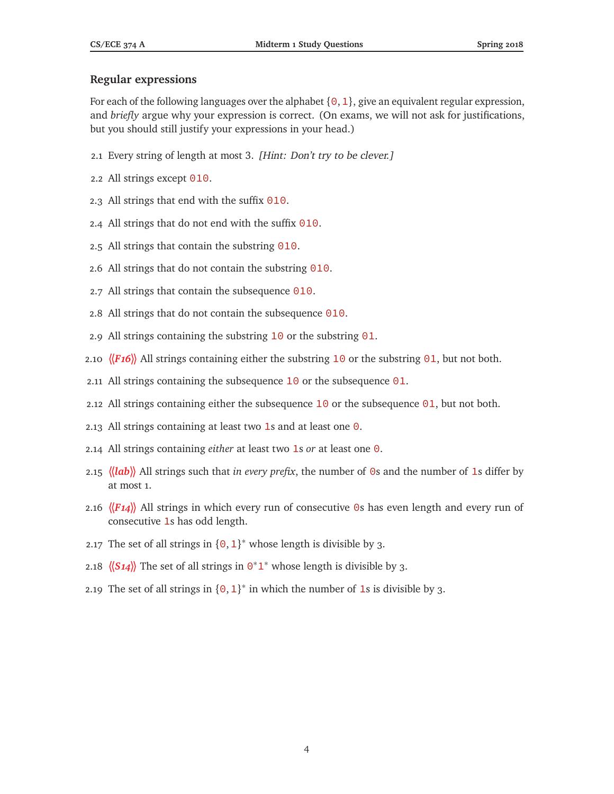## **Regular expressions**

For each of the following languages over the alphabet  $\{0,1\}$ , give an equivalent regular expression, and *briefly* argue why your expression is correct. (On exams, we will not ask for justifications, but you should still justify your expressions in your head.)

- 2.1 Every string of length at most 3. [Hint: Don't try to be clever.]
- 2.2 All strings except 010.
- 2.3 All strings that end with the suffix  $\theta$ 10.
- 2.4 All strings that do not end with the suffix  $\theta$ 10.
- 2.5 All strings that contain the substring  $\theta$ 10.
- 2.6 All strings that do not contain the substring 010.
- 2.7 All strings that contain the subsequence 010.
- 2.8 All strings that do not contain the subsequence 010.
- 2.9 All strings containing the substring  $10$  or the substring  $01$ .
- 2.10  $\langle$ *F16* $\rangle$  All strings containing either the substring 10 or the substring 01, but not both.
- 2.11 All strings containing the subsequence  $10$  or the subsequence  $01$ .
- 2.12 All strings containing either the subsequence  $10$  or the subsequence  $01$ , but not both.
- 2.13 All strings containing at least two 1s and at least one  $\theta$ .
- 2.14 All strings containing *either* at least two 1s *or* at least one 0.
- 2.15 **〈〈***lab***〉〉** All strings such that *in every prefix*, the number of 0s and the number of 1s differ by at most 1.
- 2.16  $\langle \langle F_1 \rangle$  All strings in which every run of consecutive 0s has even length and every run of consecutive 1s has odd length.
- 2.17 The set of all strings in  $\{0, 1\}^*$  whose length is divisible by 3.
- 2.18  $\langle (S14) \rangle$  The set of all strings in  $\Theta^*1^*$  whose length is divisible by 3.
- 2.19 The set of all strings in  $\{0, 1\}^*$  in which the number of 1s is divisible by 3.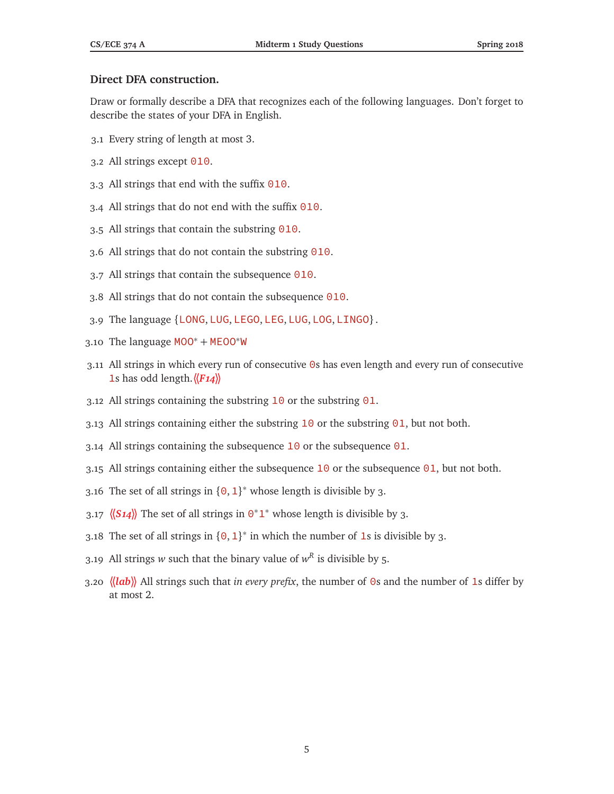# **Direct DFA construction.**

Draw or formally describe a DFA that recognizes each of the following languages. Don't forget to describe the states of your DFA in English.

- 3.1 Every string of length at most 3.
- 3.2 All strings except 010.
- 3.3 All strings that end with the suffix 010.
- 3.4 All strings that do not end with the suffix 010.
- 3.5 All strings that contain the substring  $\theta$ 10.
- 3.6 All strings that do not contain the substring 010.
- 3.7 All strings that contain the subsequence 010.
- 3.8 All strings that do not contain the subsequence 010.
- 3.9 The language {LONG, LUG, LEGO, LEG, LUG, LOG, LINGO}.
- 3.10 The language MOO<sup>\*</sup> + MEOO<sup>\*</sup>W
- 3.11 All strings in which every run of consecutive 0s has even length and every run of consecutive 1s has odd length.**〈〈***F14***〉〉**
- 3.12 All strings containing the substring  $10$  or the substring  $01$ .
- 3.13 All strings containing either the substring  $10$  or the substring  $01$ , but not both.
- 3.14 All strings containing the subsequence  $10$  or the subsequence  $01$ .
- 3.15 All strings containing either the subsequence 10 or the subsequence 01, but not both.
- 3.16 The set of all strings in  $\{0, 1\}^*$  whose length is divisible by 3.
- 3.17  $\langle 514 \rangle$  The set of all strings in  $0^*1^*$  whose length is divisible by 3.
- 3.18 The set of all strings in  ${0, 1}^*$  in which the number of 1s is divisible by 3.
- 3.19 All strings *w* such that the binary value of  $w<sup>R</sup>$  is divisible by 5.
- 3.20 **〈〈***lab***〉〉** All strings such that *in every prefix*, the number of 0s and the number of 1s differ by at most 2.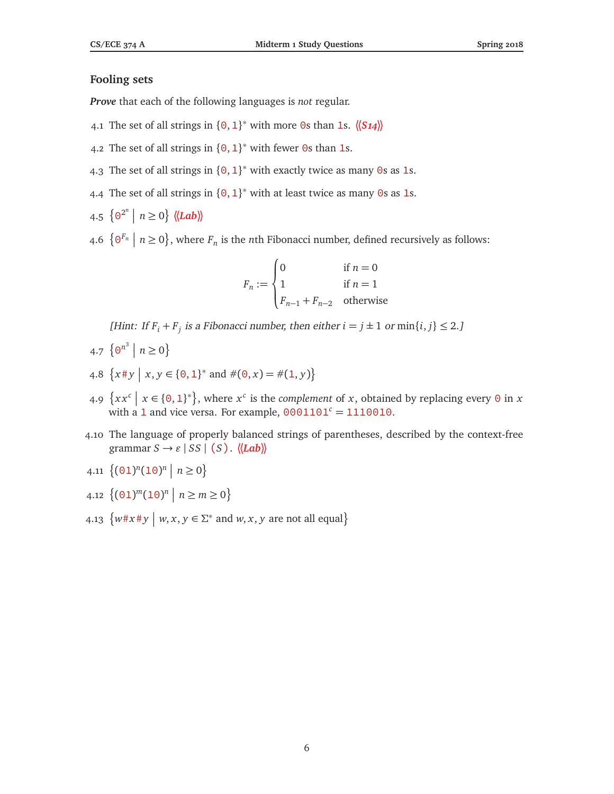### **Fooling sets**

*Prove* that each of the following languages is *not* regular.

- 4.1 The set of all strings in  $\{0, 1\}^*$  with more 0s than 1s.  $\langle \langle S_1 \rangle \rangle$
- 4.2 The set of all strings in  $\{0, 1\}^*$  with fewer 0s than 1s.
- 4.3 The set of all strings in  ${0, 1}^*$  with exactly twice as many 0s as 1s.
- 4.4 The set of all strings in  ${0, 1}^*$  with at least twice as many 0s as 1s.
- $4.5 \{ \Theta^{2^n} \mid n \ge 0 \} \langle \langle \mathbf{Lab} \rangle \rangle$
- 4.6  $\{ \Theta^{F_n} \mid n \ge 0 \}$ , where  $F_n$  is the *n*th Fibonacci number, defined recursively as follows:

$$
F_n := \begin{cases} 0 & \text{if } n = 0\\ 1 & \text{if } n = 1\\ F_{n-1} + F_{n-2} & \text{otherwise} \end{cases}
$$

[Hint: If  $F_i + F_j$  is a Fibonacci number, then either  $i = j \pm 1$  or  $\min\{i, j\} \leq 2$ .]

- 4.7  $\{0^{n^3} \mid n \ge 0\}$
- 4.8  $\{x \# y \mid x, y \in \{0, 1\}^* \text{ and } \#(0, x) = \#(1, y)\}\$
- 4.9  $\{xx^c \mid x \in \{0,1\}^*\}$ , where  $x^c$  is the *complement* of *x*, obtained by replacing every 0 in *x* with a 1 and vice versa. For example,  $0001101<sup>c</sup> = 1110010$ .
- 4.10 The language of properly balanced strings of parentheses, described by the context-free  $\text{grammar } S \rightarrow \varepsilon \mid SS \mid (S)$ .  $\langle \langle Lab \rangle \rangle$
- 4.11  $\{(\text{01})^n(\text{10})^n \mid n \geq 0\}$
- 4.12  $\{(\01)^m(10)^n \mid n \ge m \ge 0\}$
- 4.13  $\{w \# x \# y \mid w, x, y \in \Sigma^* \text{ and } w, x, y \text{ are not all equal}\}$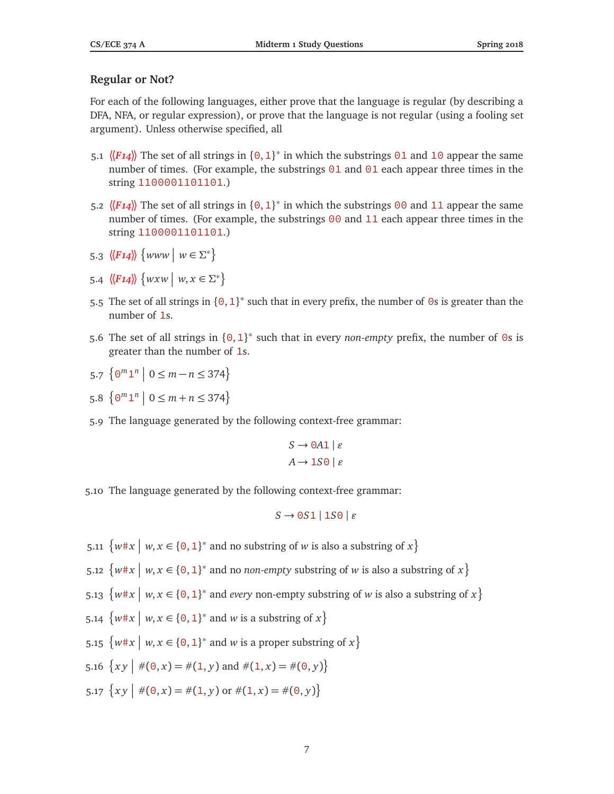## **Regular or Not?**

For each of the following languages, either prove that the language is regular (by describing a DFA, NFA, or regular expression), or prove that the language is not regular (using a fooling set argument). Unless otherwise specified, all

- 5.1  $\langle$ **F14**) The set of all strings in {0, 1}<sup>\*</sup> in which the substrings 01 and 10 appear the same number of times. (For example, the substrings  $01$  and  $01$  each appear three times in the string 1100001101101.)
- 5.2  $\langle$ **F14** $\rangle$  The set of all strings in {0, 1}<sup>\*</sup> in which the substrings 00 and 11 appear the same number of times. (For example, the substrings  $\theta\theta$  and  $11$  each appear three times in the string 1100001101101.)
- 5.3  $\langle \langle F14 \rangle \rangle$  {www |  $w \in \Sigma^*$ }
- 5.4  $\langle F14 \rangle \rangle \{ wxw \mid w, x \in \Sigma^* \}$
- 5.5 The set of all strings in  ${0, 1}^*$  such that in every prefix, the number of 0s is greater than the number of 1s.
- 5.6 The set of all strings in  ${0, 1}^*$  such that in every *non-empty* prefix, the number of 0s is greater than the number of 1s.
- 5.7  $\{ \Theta^m \mathbf{1}^n \mid 0 \le m n \le 374 \}$
- 5.8  $\{0^m1^n \mid 0 \le m + n \le 374\}$
- 5.9 The language generated by the following context-free grammar:

$$
S \to 0A1 \mid \varepsilon
$$

$$
A \to 1S0 \mid \varepsilon
$$

5.10 The language generated by the following context-free grammar:

$$
S \to 0S1 \mid 1S0 \mid \varepsilon
$$

- 5.11  $\{w \# x \mid w, x \in \{0, 1\}^* \text{ and no substring of } w \text{ is also a substring of } x\}$
- 5.12  $\{w \# x \mid w, x \in \{0, 1\}^* \text{ and no non-empty substring of } w \text{ is also a substring of } x\}$
- 5.13  $\{w \# x \mid w, x \in \{0, 1\}^* \text{ and every non-empty substring of } w \text{ is also a substring of } x\}$
- 5.14  $\{w \# x \mid w, x \in \{0, 1\}^* \text{ and } w \text{ is a substring of } x\}$
- 5.15  $\{w \# x \mid w, x \in \{0, 1\}^* \text{ and } w \text{ is a proper substring of } x\}$
- 5.16  $\{xy \mid \#(0, x) = \#(1, y) \text{ and } \#(1, x) = \#(0, y)\}\$
- 5.17  $\{xy \mid \#(0, x) = \#(1, y) \text{ or } \#(1, x) = \#(0, y)\}\$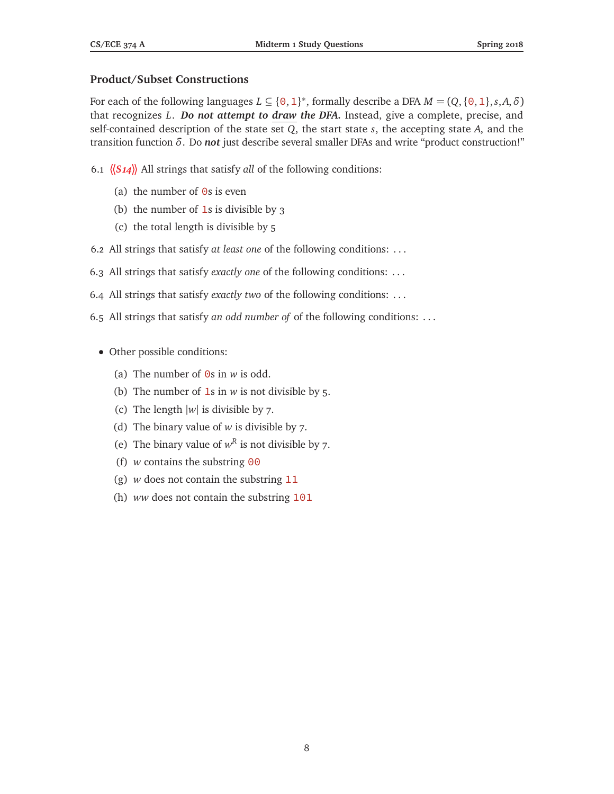## **Product/Subset Constructions**

For each of the following languages  $L \subseteq \{0, 1\}^*$ , formally describe a DFA  $M = (Q, \{0, 1\}, s, A, \delta)$ that recognizes *L*. *Do not attempt to draw the DFA.* Instead, give a complete, precise, and self-contained description of the state set *Q*, the start state *s*, the accepting state *A*, and the transition function *δ*. Do *not* just describe several smaller DFAs and write "product construction!"

- 6.1 **〈〈***S14***〉〉** All strings that satisfy *all* of the following conditions:
	- (a) the number of  $\Theta$ s is even
	- (b) the number of  $1s$  is divisible by 3
	- (c) the total length is divisible by 5
- 6.2 All strings that satisfy *at least one* of the following conditions: . . .
- 6.3 All strings that satisfy *exactly one* of the following conditions: . . .
- 6.4 All strings that satisfy *exactly two* of the following conditions: . . .
- 6.5 All strings that satisfy *an odd number of* of the following conditions: . . .
	- Other possible conditions:
		- (a) The number of 0s in *w* is odd.
		- (b) The number of 1s in *w* is not divisible by 5.
		- (c) The length |*w*| is divisible by 7.
		- (d) The binary value of *w* is divisible by 7.
		- (e) The binary value of  $w^R$  is not divisible by 7.
		- (f) *w* contains the substring 00
		- (g) *w* does not contain the substring 11
		- (h) *ww* does not contain the substring 101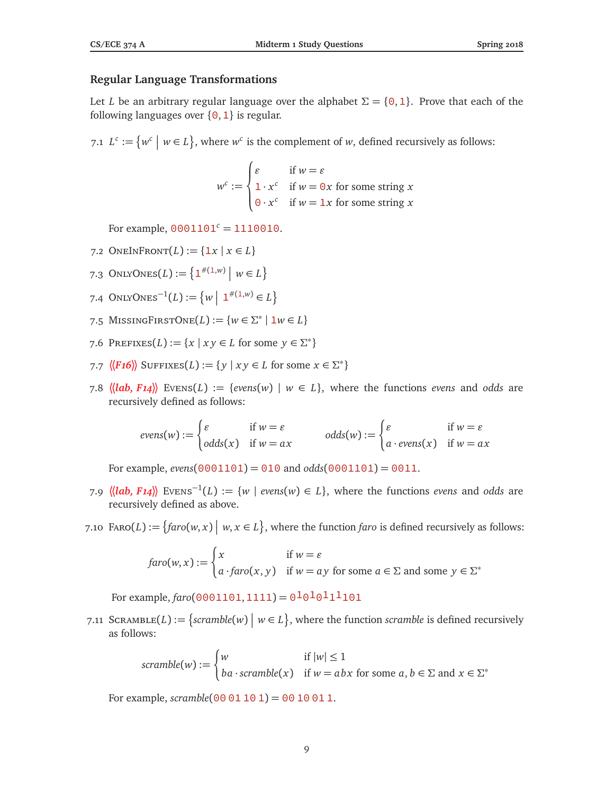## **Regular Language Transformations**

Let *L* be an arbitrary regular language over the alphabet  $\Sigma = \{0, 1\}$ . Prove that each of the following languages over  $\{0, 1\}$  is regular.

7.1  $L^c := \{ w^c \mid w \in L \}$ , where  $w^c$  is the complement of *w*, defined recursively as follows:

$$
w^{c} := \begin{cases} \varepsilon & \text{if } w = \varepsilon \\ 1 \cdot x^{c} & \text{if } w = 0x \text{ for some string } x \\ 0 \cdot x^{c} & \text{if } w = 1x \text{ for some string } x \end{cases}
$$

For example,  $0001101<sup>c</sup> = 1110010$ .

- 7.2 ONEINFRONT $(L) := \{ 1x \mid x \in L \}$
- 7.3 ONLYONES(*L*) := { $1^{#(1,w)}$  |  $w \in L$ }
- 7.4 ONLYONES<sup>-1</sup>(*L*) := {*w* | 1<sup>#(1,*w*)</sup> ∈ *L*}
- 7.5 MISSINGFIRSTONE $(L) := \{ w \in \Sigma^* \mid 1 w \in L \}$
- 7.6 PREFIXES( $L$ ) := { $x | xy \in L$  for some  $y \in \Sigma^*$ }
- 7.7  $\langle \langle \mathbf{F16} \rangle \rangle$  SUFFIXES(*L*) := { $y | xy \in L$  for some  $x \in \Sigma^*$ }
- 7.8  $\langle \langle lab, F14 \rangle \rangle$  Evens $(L) := \{evens(w) \mid w \in L\}$ , where the functions *evens* and *odds* are recursively defined as follows:

$$
evens(w) := \begin{cases} \varepsilon & \text{if } w = \varepsilon \\ odds(x) & \text{if } w = ax \end{cases} \qquad odds(w) := \begin{cases} \varepsilon & \text{if } w = \varepsilon \\ a \cdot evens(x) & \text{if } w = ax \end{cases}
$$

For example, *evens*(0001101) = 010 and *odds*(0001101) = 0011.

- 7.9  $\langle \langle \text{lab, F14} \rangle \rangle$  Evens<sup>−1</sup>(*L*) := {*w* | *evens*(*w*) ∈ *L*}, where the functions *evens* and *odds* are recursively defined as above.
- 7.10 FARO(*L*) := { $\{faro(w, x) \mid w, x \in L\}$ , where the function *faro* is defined recursively as follows:

$$
faro(w, x) := \begin{cases} x & \text{if } w = \varepsilon \\ a \cdot faro(x, y) & \text{if } w = ay \text{ for some } a \in \Sigma \text{ and some } y \in \Sigma^* \end{cases}
$$

For example,  $\frac{faro(0001101,1111)} = 0.0101111101$ 

7.11 SCRAMBLE(*L*) := {scramble(*w*) |  $w \in L$ }, where the function scramble is defined recursively as follows:

$$
scramble(w) := \begin{cases} w & \text{if } |w| \le 1 \\ ba \cdot scramble(x) & \text{if } w = abx \text{ for some } a, b \in \Sigma \text{ and } x \in \Sigma^* \end{cases}
$$

For example,  $scramble(00 01 10 1) = 00 10 01 1$ .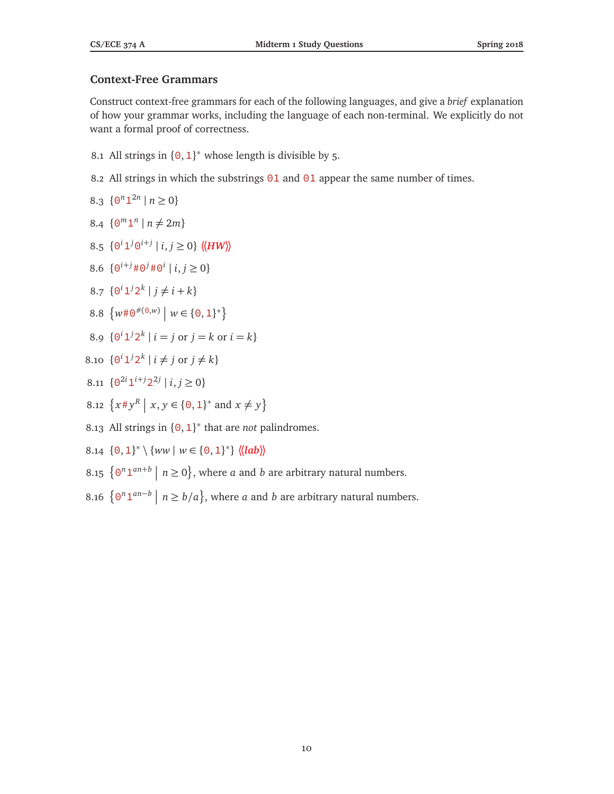# **Context-Free Grammars**

Construct context-free grammars for each of the following languages, and give a *brief* explanation of how your grammar works, including the language of each non-terminal. We explicitly do not want a formal proof of correctness.

- 8.1 All strings in  $\{0, 1\}^*$  whose length is divisible by 5.
- 8.2 All strings in which the substrings  $01$  and  $01$  appear the same number of times.

$$
8.3 \ \{ \Theta^n \mathbf{1}^{2n} \mid n \ge 0 \}
$$

- 8.4  $\{0^m1^n \mid n \neq 2m\}$
- 8.5  $\{0^i 1^j 0^{i+j} \mid i, j \ge 0\}$   $\langle \langle HW \rangle \rangle$
- 8.6  $\{ \Theta^{i+j} \# \Theta^j \# \Theta^i \mid i, j \ge 0 \}$
- 8.7  $\{0^i 1^j 2^k \mid j \neq i + k\}$
- 8.8  $\{w\#0^{\#(\Theta,w)} \mid w \in \{0,1\}^*\}$
- 8.9  $\{0^i 1^j 2^k \mid i = j \text{ or } j = k \text{ or } i = k\}$
- 8.10  $\{0^i 1^j 2^k \mid i \neq j \text{ or } j \neq k\}$
- 8.11  $\{ \Theta^{2i} \mathbf{1}^{i+j} \mathbf{2}^{2j} \mid i, j \ge 0 \}$
- 8.12  $\{x \# y^R \mid x, y \in \{0, 1\}^* \text{ and } x \neq y\}$
- 8.13 All strings in  $\{0, 1\}^*$  that are *not* palindromes.
- 8.14  $\{0, 1\}^* \setminus \{ww \mid w \in \{0, 1\}^*\}$   $\langle \langle lab \rangle \rangle$
- 8.15  $\{0^n 1^{an+b} \mid n \ge 0\}$ , where *a* and *b* are arbitrary natural numbers.
- 8.16  $\{0^n 1^{an-b} \mid n \ge b/a\}$ , where *a* and *b* are arbitrary natural numbers.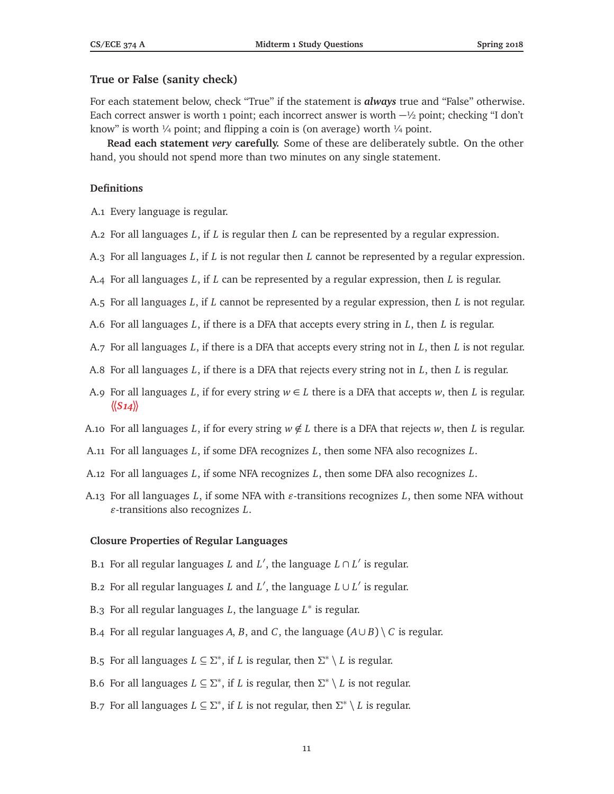### **True or False (sanity check)**

For each statement below, check "True" if the statement is *always* true and "False" otherwise. Each correct answer is worth 1 point; each incorrect answer is worth  $-\frac{1}{2}$  point; checking "I don't know" is worth  $\frac{1}{4}$  point; and flipping a coin is (on average) worth  $\frac{1}{4}$  point.

**Read each statement** *very* **carefully.** Some of these are deliberately subtle. On the other hand, you should not spend more than two minutes on any single statement.

#### **Definitions**

A.1 Every language is regular.

- A.2 For all languages *L*, if *L* is regular then *L* can be represented by a regular expression.
- A.3 For all languages *L*, if *L* is not regular then *L* cannot be represented by a regular expression.
- A.4 For all languages *L*, if *L* can be represented by a regular expression, then *L* is regular.
- A.5 For all languages *L*, if *L* cannot be represented by a regular expression, then *L* is not regular.
- A.6 For all languages *L*, if there is a DFA that accepts every string in *L*, then *L* is regular.
- A.7 For all languages *L*, if there is a DFA that accepts every string not in *L*, then *L* is not regular.
- A.8 For all languages *L*, if there is a DFA that rejects every string not in *L*, then *L* is regular.
- A.9 For all languages *L*, if for every string  $w \in L$  there is a DFA that accepts *w*, then *L* is regular.  $\langle \langle S_14 \rangle \rangle$
- A.10 For all languages L, if for every string  $w \notin L$  there is a DFA that rejects w, then L is regular.
- A.11 For all languages *L*, if some DFA recognizes *L*, then some NFA also recognizes *L*.
- A.12 For all languages *L*, if some NFA recognizes *L*, then some DFA also recognizes *L*.
- A.13 For all languages  $L$ , if some NFA with  $\varepsilon$ -transitions recognizes  $L$ , then some NFA without  $\varepsilon$ -transitions also recognizes *L*.

#### **Closure Properties of Regular Languages**

- B.1 For all regular languages *L* and  $L'$ , the language  $L \cap L'$  is regular.
- B.2 For all regular languages *L* and  $L'$ , the language  $L \cup L'$  is regular.
- B.3 For all regular languages *L*, the language *L* ∗ is regular.
- B.4 For all regular languages *A*, *B*, and *C*, the language  $(A \cup B) \setminus C$  is regular.
- B.5 For all languages  $L \subseteq \Sigma^*$ , if *L* is regular, then  $\Sigma^* \setminus L$  is regular.
- B.6 For all languages  $L \subseteq \Sigma^*$ , if *L* is regular, then  $\Sigma^* \setminus L$  is not regular.
- B.7 For all languages  $L \subseteq \Sigma^*$ , if *L* is not regular, then  $\Sigma^* \setminus L$  is regular.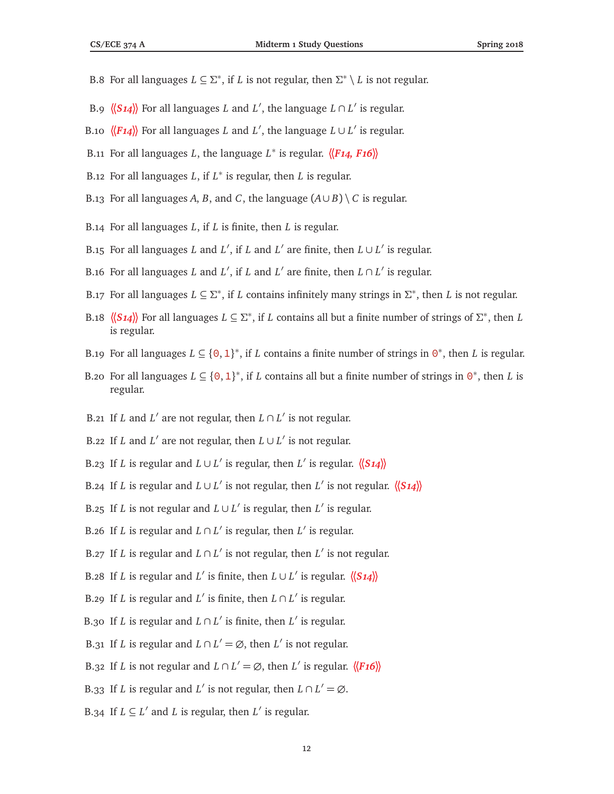- B.8 For all languages  $L \subseteq \Sigma^*$ , if *L* is not regular, then  $\Sigma^* \setminus L$  is not regular.
- B.9  $\langle (S14) \rangle$  For all languages *L* and *L'*, the language  $L \cap L'$  is regular.
- B.10  $\langle \langle F14 \rangle \rangle$  For all languages *L* and *L'*, the language  $L \cup L'$  is regular.
- B.11 For all languages *L*, the language *L* ∗ is regular. **〈〈***F14, F16***〉〉**
- B.12 For all languages *L*, if *L* ∗ is regular, then *L* is regular.
- B.13 For all languages *A*, *B*, and *C*, the language  $(A \cup B) \setminus C$  is regular.
- B.14 For all languages *L*, if *L* is finite, then *L* is regular.
- B.15 For all languages *L* and *L'*, if *L* and *L'* are finite, then  $L \cup L'$  is regular.
- B.16 For all languages *L* and *L'*, if *L* and *L'* are finite, then  $L \cap L'$  is regular.
- B.17 For all languages  $L \subseteq \Sigma^*$ , if *L* contains infinitely many strings in  $\Sigma^*$ , then *L* is not regular.
- B.18  $\langle \langle S14 \rangle \rangle$  For all languages  $L \subseteq \Sigma^*$ , if *L* contains all but a finite number of strings of  $\Sigma^*$ , then *L* is regular.
- B.19 For all languages  $L \subseteq \{0,1\}^*$ , if *L* contains a finite number of strings in  $0^*$ , then *L* is regular.
- B.20 For all languages  $L \subseteq \{0, 1\}^*$ , if *L* contains all but a finite number of strings in  $\Theta^*$ , then *L* is regular.
- B.21 If *L* and *L'* are not regular, then  $L \cap L'$  is not regular.
- B.22 If *L* and *L'* are not regular, then  $L \cup L'$  is not regular.
- B.23 If *L* is regular and  $L \cup L'$  is regular, then  $L'$  is regular.  $\langle \langle S_1 4 \rangle \rangle$
- B.24 If *L* is regular and  $L \cup L'$  is not regular, then  $L'$  is not regular.  $\langle \langle S_1 \rangle \rangle$
- B.25 If *L* is not regular and  $L \cup L'$  is regular, then  $L'$  is regular.
- B.26 If *L* is regular and  $L \cap L'$  is regular, then  $L'$  is regular.
- B.27 If *L* is regular and  $L \cap L'$  is not regular, then  $L'$  is not regular.
- B.28 If *L* is regular and *L'* is finite, then  $L \cup L'$  is regular.  $\langle \langle S_1 4 \rangle \rangle$
- B.29 If *L* is regular and *L'* is finite, then  $L \cap L'$  is regular.
- B.30 If *L* is regular and  $L \cap L'$  is finite, then  $L'$  is regular.
- B.31 If *L* is regular and  $L \cap L' = \emptyset$ , then  $L'$  is not regular.
- B.32 If *L* is not regular and  $L \cap L' = \emptyset$ , then *L'* is regular.  $\langle \langle F16 \rangle \rangle$
- B.33 If *L* is regular and *L'* is not regular, then  $L \cap L' = \emptyset$ .
- B.34 If  $L \subseteq L'$  and *L* is regular, then  $L'$  is regular.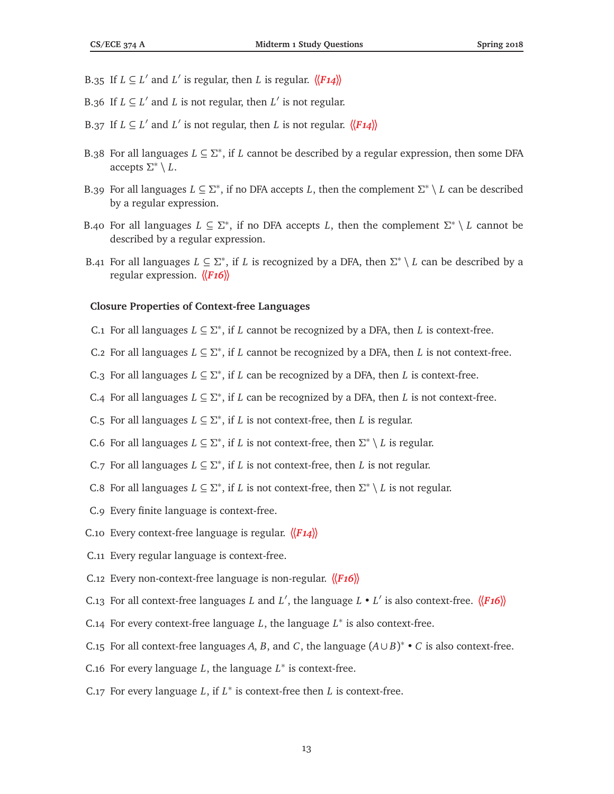- B.35 If  $L \subseteq L'$  and  $L'$  is regular, then *L* is regular.  $\langle \langle F_14 \rangle \rangle$
- B.36 If  $L \subseteq L'$  and *L* is not regular, then  $L'$  is not regular.
- B.37 If  $L \subseteq L'$  and  $L'$  is not regular, then *L* is not regular.  $\langle \langle F14 \rangle \rangle$
- B.38 For all languages *L* ⊆ *Σ* ∗ , if *L* cannot be described by a regular expression, then some DFA accepts *Σ* ∗ \ *L*.
- B.39 For all languages  $L \subseteq \Sigma^*$ , if no DFA accepts *L*, then the complement  $\Sigma^* \setminus L$  can be described by a regular expression.
- B.40 For all languages  $L \subseteq \Sigma^*$ , if no DFA accepts *L*, then the complement  $\Sigma^* \setminus L$  cannot be described by a regular expression.
- B.41 For all languages  $L \subseteq \Sigma^*$ , if *L* is recognized by a DFA, then  $\Sigma^* \setminus L$  can be described by a regular expression. **〈〈***F16***〉〉**

#### **Closure Properties of Context-free Languages**

- C.1 For all languages  $L \subseteq \Sigma^*$ , if *L* cannot be recognized by a DFA, then *L* is context-free.
- C.2 For all languages  $L \subseteq \Sigma^*$ , if *L* cannot be recognized by a DFA, then *L* is not context-free.
- C.3 For all languages  $L \subseteq \Sigma^*$ , if *L* can be recognized by a DFA, then *L* is context-free.
- C.4 For all languages  $L \subseteq \Sigma^*$ , if *L* can be recognized by a DFA, then *L* is not context-free.
- C.5 For all languages  $L \subseteq \Sigma^*$ , if *L* is not context-free, then *L* is regular.
- C.6 For all languages  $L \subseteq \Sigma^*$ , if *L* is not context-free, then  $\Sigma^* \setminus L$  is regular.
- C.7 For all languages  $L \subseteq \Sigma^*$ , if *L* is not context-free, then *L* is not regular.
- C.8 For all languages  $L \subseteq \Sigma^*$ , if *L* is not context-free, then  $\Sigma^* \setminus L$  is not regular.
- C.9 Every finite language is context-free.
- C.10 Every context-free language is regular. **〈〈***F14***〉〉**
- C.11 Every regular language is context-free.
- C.12 Every non-context-free language is non-regular. **〈〈***F16***〉〉**
- C.13 For all context-free languages *L* and *L'*, the language *L L'* is also context-free.  $\langle \langle F16 \rangle \rangle$
- C.14 For every context-free language *L*, the language *L* ∗ is also context-free.
- C.15 For all context-free languages *A*, *B*, and *C*, the language  $(A \cup B)^* \cdot C$  is also context-free.
- C.16 For every language *L*, the language *L* ∗ is context-free.
- C.17 For every language  $L$ , if  $L^*$  is context-free then  $L$  is context-free.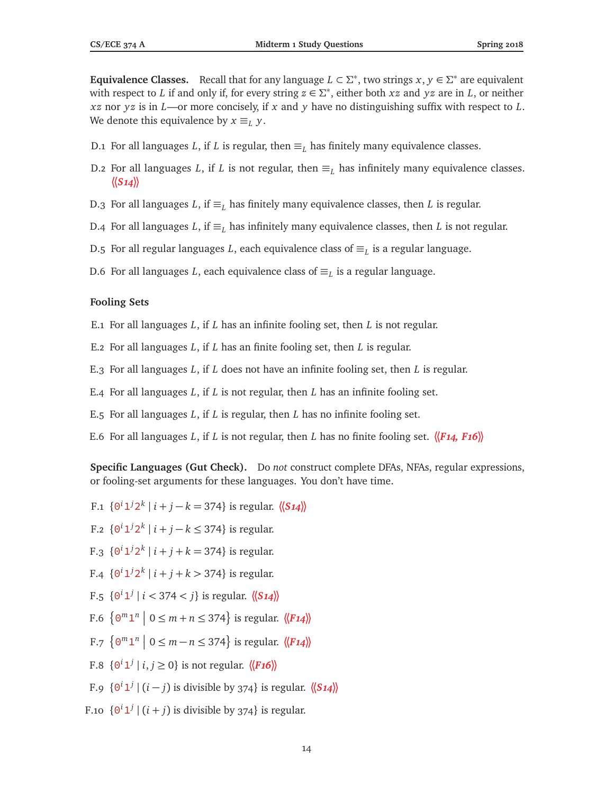**Equivalence Classes.** Recall that for any language  $L \subset \Sigma^*$ , two strings  $x, y \in \Sigma^*$  are equivalent with respect to *L* if and only if, for every string  $z \in \Sigma^*$ , either both *xz* and *yz* are in *L*, or neither *xz* nor *yz* is in *L*—or more concisely, if *x* and *y* have no distinguishing suffix with respect to *L*. We denote this equivalence by  $x \equiv_L y$ .

- D.1 For all languages *L*, if *L* is regular, then  $\equiv_L$  has finitely many equivalence classes.
- D.2 For all languages *L*, if *L* is not regular, then  $\equiv_L$  has infinitely many equivalence classes. **〈〈***S14***〉〉**
- D.3 For all languages *L*, if  $\equiv_L$  has finitely many equivalence classes, then *L* is regular.
- D.4 For all languages *L*, if  $\equiv_L$  has infinitely many equivalence classes, then *L* is not regular.
- D.5 For all regular languages L, each equivalence class of  $\equiv_L$  is a regular language.
- D.6 For all languages L, each equivalence class of  $\equiv_L$  is a regular language.

#### **Fooling Sets**

- E.1 For all languages *L*, if *L* has an infinite fooling set, then *L* is not regular.
- E.2 For all languages *L*, if *L* has an finite fooling set, then *L* is regular.
- E.3 For all languages *L*, if *L* does not have an infinite fooling set, then *L* is regular.
- E.4 For all languages *L*, if *L* is not regular, then *L* has an infinite fooling set.
- E.5 For all languages *L*, if *L* is regular, then *L* has no infinite fooling set.
- E.6 For all languages *L*, if *L* is not regular, then *L* has no finite fooling set.  $\langle \mathbf{F14}, \mathbf{F16} \rangle$

**Specific Languages (Gut Check).** Do *not* construct complete DFAs, NFAs, regular expressions, or fooling-set arguments for these languages. You don't have time.

- F.1  $\{0^i 1^j 2^k | i + j k = 374\}$  is regular.  $\langle \langle S_1 4 \rangle \rangle$
- F.2  ${0^i 1^j 2^k | i + j k ≤ 374}$  is regular.
- F.3  $\{0^i 1^j 2^k | i+j+k = 374\}$  is regular.
- F.4  $\{0^i 1^j 2^k \mid i + j + k > 374\}$  is regular.
- $F.5 \{0^i 1^j | i < 374 < j\}$  is regular.  $\langle \langle S14 \rangle \rangle$
- F.6  $\left\{ \Theta^m \mathbf{1}^n \mid 0 \leq m + n \leq 374 \right\}$  is regular.  $\langle \langle F \mathbf{14} \rangle \rangle$
- F.7  $\left\{ \Theta^m \mathbf{1}^n \mid 0 \leq m n \leq 374 \right\}$  is regular.  $\langle \langle F14 \rangle \rangle$
- F.8  $\{0^i 1^j \mid i, j \ge 0\}$  is not regular.  $\langle \langle F16 \rangle \rangle$
- F.9  $\{0^i 1^j | (i j) \text{ is divisible by } 374\}$  is regular.  $\langle \langle S14 \rangle \rangle$
- F.10  $\{0^i1^j \mid (i+j)$  is divisible by 374} is regular.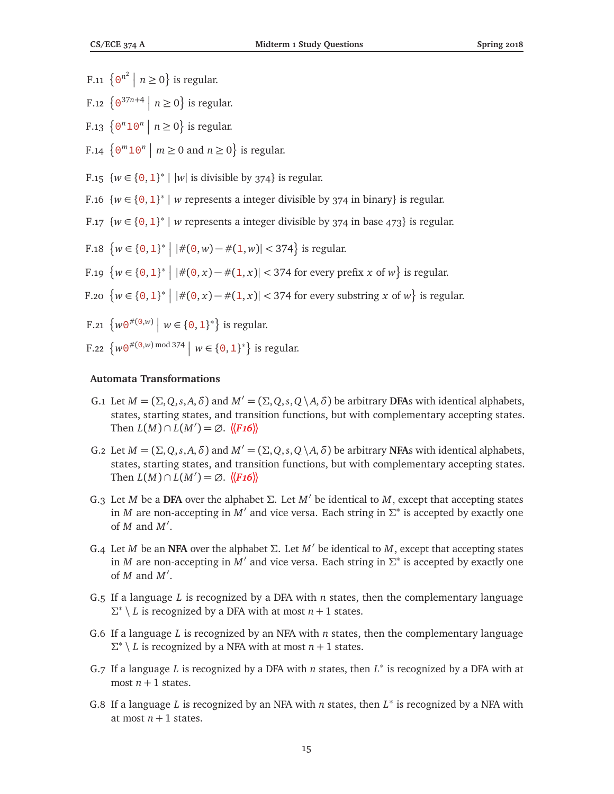- F.11  $\{ \Theta^{n^2} \mid n \ge 0 \}$  is regular.
- F.12  $\left\{ \frac{\Theta^{37n+4}}{n \geq 0} \right\}$  is regular.
- F.13  $\{ \Theta^n 1 \Theta^n \mid n \geq 0 \}$  is regular.
- F.14  $\{0^m10^n \mid m \ge 0 \text{ and } n \ge 0\}$  is regular.
- F.15  $\{w \in \{0, 1\}^* \mid |w| \text{ is divisible by } 374\}$  is regular.
- F.16  $\{w \in \{0,1\}^* \mid w \}$  represents a integer divisible by 374 in binary} is regular.
- F.17  $\{w \in \{0, 1\}^* \mid w \}$  represents a integer divisible by 374 in base 473} is regular.
- F.18  $\{w \in \{0, 1\}^* \mid |\#(0, w) \#(1, w)| < 374\}$  is regular.
- F.19  $\{w \in \{0, 1\}^* \mid |\#(0, x) \#(1, x)| < 374 \text{ for every prefix } x \text{ of } w\}$  is regular.
- F.20  $\{w \in \{0, 1\}^* \mid |\#(0, x) \#(1, x)| < 374$  for every substring *x* of *w*} is regular.
- F.21  $\{w\Theta^{\#(\Theta,w)} \mid w \in \{\Theta,1\}^*\}$  is regular.
- F.22  $\{w\Theta^{\#(\Theta,w) \bmod 374} \mid w \in \{\Theta,1\}^*\}$  is regular.

#### **Automata Transformations**

- G.1 Let  $M = (\Sigma, Q, s, A, \delta)$  and  $M' = (\Sigma, Q, s, Q \setminus A, \delta)$  be arbitrary **DFA**s with identical alphabets, states, starting states, and transition functions, but with complementary accepting states. Then  $L(M) \cap L(M') = \emptyset$ .  $\langle \langle F16 \rangle \rangle$
- G.2 Let  $M = (\Sigma, Q, s, A, \delta)$  and  $M' = (\Sigma, Q, s, Q \setminus A, \delta)$  be arbitrary **NFA**s with identical alphabets, states, starting states, and transition functions, but with complementary accepting states. Then  $L(M) \cap L(M') = \emptyset$ .  $\langle \langle F16 \rangle \rangle$
- G.3 Let *M* be a **DFA** over the alphabet *Σ*. Let *M*<sup>0</sup> be identical to *M*, except that accepting states in *M* are non-accepting in *M'* and vice versa. Each string in  $\Sigma^*$  is accepted by exactly one of  $M$  and  $M'$ .
- G.4 Let *M* be an **NFA** over the alphabet *Σ*. Let *M*<sup>0</sup> be identical to *M*, except that accepting states in *M* are non-accepting in  $\overline{M}'$  and vice versa. Each string in  $\Sigma^*$  is accepted by exactly one of  $M$  and  $M'$ .
- G.5 If a language *L* is recognized by a DFA with *n* states, then the complementary language  $\Sigma^* \setminus L$  is recognized by a DFA with at most  $n + 1$  states.
- G.6 If a language *L* is recognized by an NFA with *n* states, then the complementary language  $\Sigma^* \setminus L$  is recognized by a NFA with at most  $n + 1$  states.
- G.7 If a language *L* is recognized by a DFA with *n* states, then *L* ∗ is recognized by a DFA with at most  $n + 1$  states.
- G.8 If a language *L* is recognized by an NFA with *n* states, then  $L^*$  is recognized by a NFA with at most  $n + 1$  states.